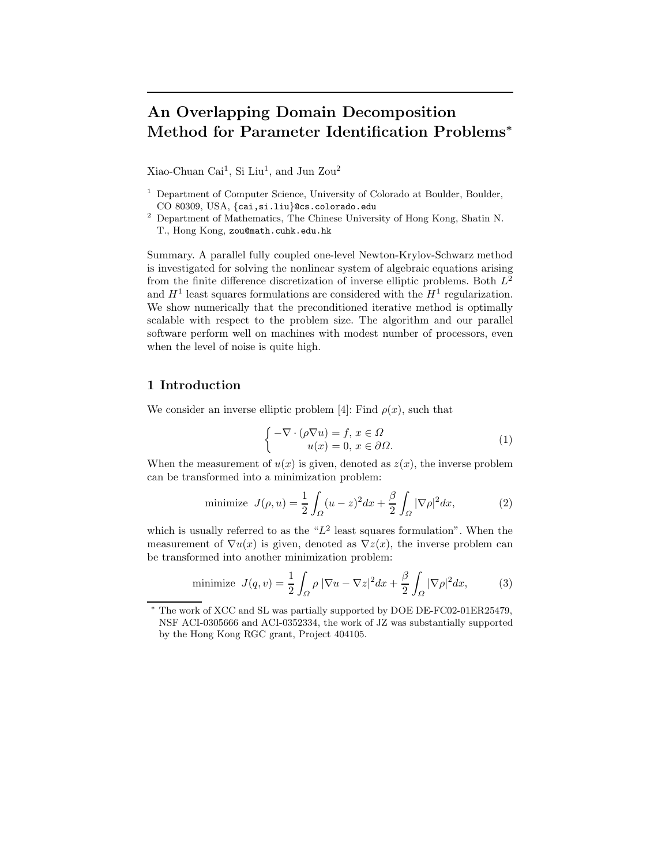# An Overlapping Domain Decomposition Method for Parameter Identification Problems<sup>∗</sup>

Xiao-Chuan Cai<sup>1</sup>, Si Liu<sup>1</sup>, and Jun Zou<sup>2</sup>

- <sup>1</sup> Department of Computer Science, University of Colorado at Boulder, Boulder, CO 80309, USA, {cai,si.liu}@cs.colorado.edu
- <sup>2</sup> Department of Mathematics, The Chinese University of Hong Kong, Shatin N. T., Hong Kong, zou@math.cuhk.edu.hk

Summary. A parallel fully coupled one-level Newton-Krylov-Schwarz method is investigated for solving the nonlinear system of algebraic equations arising from the finite difference discretization of inverse elliptic problems. Both  $L^2$ and  $H^1$  least squares formulations are considered with the  $H^1$  regularization. We show numerically that the preconditioned iterative method is optimally scalable with respect to the problem size. The algorithm and our parallel software perform well on machines with modest number of processors, even when the level of noise is quite high.

## 1 Introduction

We consider an inverse elliptic problem [4]: Find  $\rho(x)$ , such that

$$
\begin{cases}\n-\nabla \cdot (\rho \nabla u) = f, \, x \in \Omega \\
u(x) = 0, \, x \in \partial \Omega.\n\end{cases} \tag{1}
$$

When the measurement of  $u(x)$  is given, denoted as  $z(x)$ , the inverse problem can be transformed into a minimization problem:

minimize 
$$
J(\rho, u) = \frac{1}{2} \int_{\Omega} (u - z)^2 dx + \frac{\beta}{2} \int_{\Omega} |\nabla \rho|^2 dx,
$$
 (2)

which is usually referred to as the  $L^2$  least squares formulation". When the measurement of  $\nabla u(x)$  is given, denoted as  $\nabla z(x)$ , the inverse problem can be transformed into another minimization problem:

minimize 
$$
J(q, v) = \frac{1}{2} \int_{\Omega} \rho |\nabla u - \nabla z|^2 dx + \frac{\beta}{2} \int_{\Omega} |\nabla \rho|^2 dx,
$$
 (3)

The work of XCC and SL was partially supported by DOE DE-FC02-01ER25479, NSF ACI-0305666 and ACI-0352334, the work of JZ was substantially supported by the Hong Kong RGC grant, Project 404105.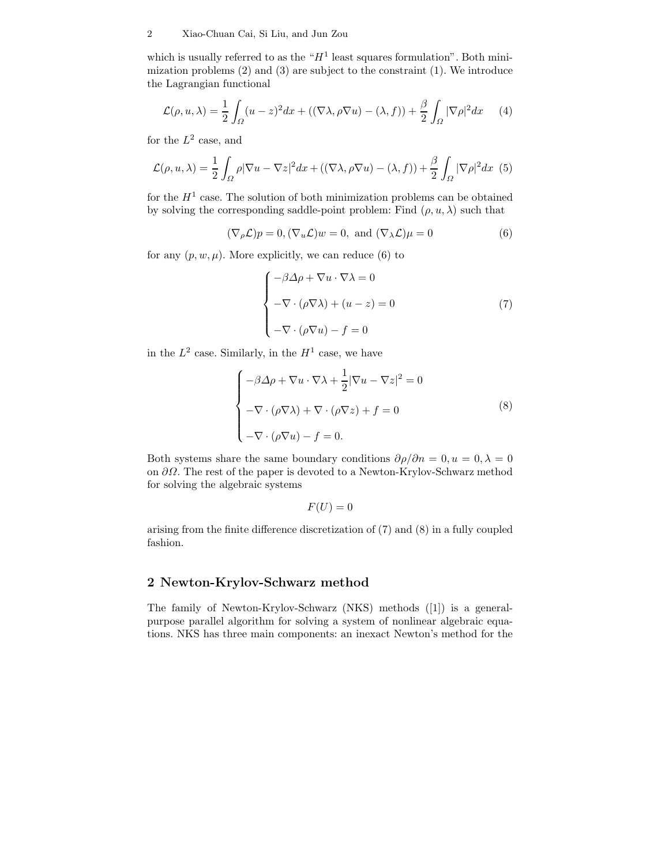#### 2 Xiao-Chuan Cai, Si Liu, and Jun Zou

which is usually referred to as the " $H<sup>1</sup>$  least squares formulation". Both minimization problems (2) and (3) are subject to the constraint (1). We introduce the Lagrangian functional

$$
\mathcal{L}(\rho, u, \lambda) = \frac{1}{2} \int_{\Omega} (u - z)^2 dx + ((\nabla \lambda, \rho \nabla u) - (\lambda, f)) + \frac{\beta}{2} \int_{\Omega} |\nabla \rho|^2 dx \qquad (4)
$$

for the  $L^2$  case, and

$$
\mathcal{L}(\rho, u, \lambda) = \frac{1}{2} \int_{\Omega} \rho |\nabla u - \nabla z|^2 dx + ((\nabla \lambda, \rho \nabla u) - (\lambda, f)) + \frac{\beta}{2} \int_{\Omega} |\nabla \rho|^2 dx \tag{5}
$$

for the  $H<sup>1</sup>$  case. The solution of both minimization problems can be obtained by solving the corresponding saddle-point problem: Find  $(\rho, u, \lambda)$  such that

 $(\nabla_{\rho} \mathcal{L})p = 0, (\nabla_{u} \mathcal{L})w = 0$ , and  $(\nabla_{\lambda} \mathcal{L})\mu = 0$  (6)

for any  $(p, w, \mu)$ . More explicitly, we can reduce (6) to

$$
\begin{cases}\n-\beta \Delta \rho + \nabla u \cdot \nabla \lambda = 0 \\
-\nabla \cdot (\rho \nabla \lambda) + (u - z) = 0 \\
-\nabla \cdot (\rho \nabla u) - f = 0\n\end{cases}
$$
\n(7)

in the  $L^2$  case. Similarly, in the  $H^1$  case, we have

$$
\begin{cases}\n-\beta \Delta \rho + \nabla u \cdot \nabla \lambda + \frac{1}{2} |\nabla u - \nabla z|^2 = 0 \\
-\nabla \cdot (\rho \nabla \lambda) + \nabla \cdot (\rho \nabla z) + f = 0 \\
-\nabla \cdot (\rho \nabla u) - f = 0.\n\end{cases}
$$
\n(8)

Both systems share the same boundary conditions  $\partial \rho / \partial n = 0, u = 0, \lambda = 0$ on  $\partial\Omega$ . The rest of the paper is devoted to a Newton-Krylov-Schwarz method for solving the algebraic systems

$$
F(U) = 0
$$

arising from the finite difference discretization of (7) and (8) in a fully coupled fashion.

# 2 Newton-Krylov-Schwarz method

The family of Newton-Krylov-Schwarz (NKS) methods ([1]) is a generalpurpose parallel algorithm for solving a system of nonlinear algebraic equations. NKS has three main components: an inexact Newton's method for the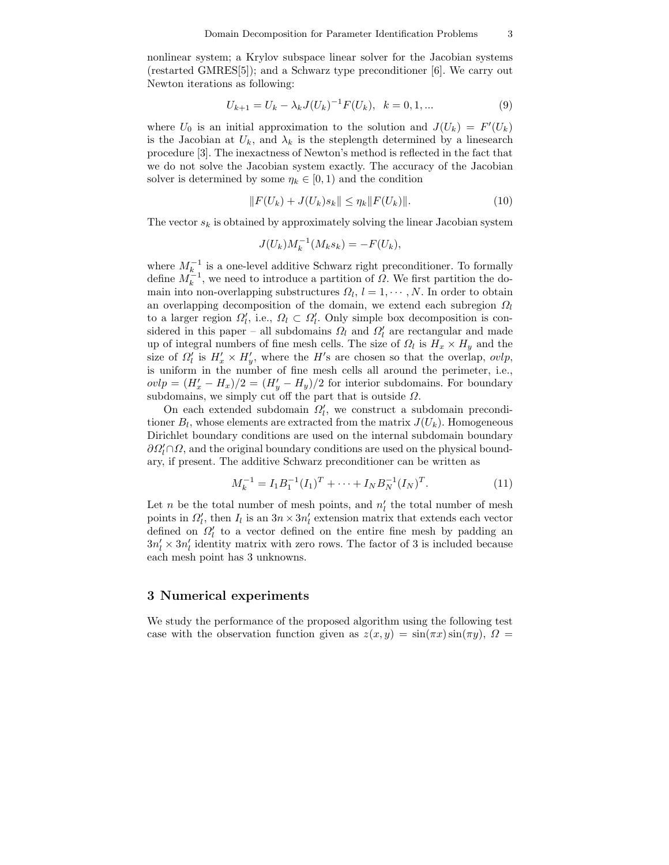nonlinear system; a Krylov subspace linear solver for the Jacobian systems (restarted GMRES[5]); and a Schwarz type preconditioner [6]. We carry out Newton iterations as following:

$$
U_{k+1} = U_k - \lambda_k J(U_k)^{-1} F(U_k), \quad k = 0, 1, \dots
$$
\n(9)

where  $U_0$  is an initial approximation to the solution and  $J(U_k) = F'(U_k)$ is the Jacobian at  $U_k$ , and  $\lambda_k$  is the steplength determined by a linesearch procedure [3]. The inexactness of Newton's method is reflected in the fact that we do not solve the Jacobian system exactly. The accuracy of the Jacobian solver is determined by some  $\eta_k \in [0,1)$  and the condition

$$
||F(U_k) + J(U_k)s_k|| \le \eta_k ||F(U_k)||. \tag{10}
$$

The vector  $s_k$  is obtained by approximately solving the linear Jacobian system

$$
J(U_k)M_k^{-1}(M_ks_k) = -F(U_k),
$$

where  $M_k^{-1}$  is a one-level additive Schwarz right preconditioner. To formally define  $M_k^{\stackrel{\sim}{\sim}}$ , we need to introduce a partition of  $\Omega$ . We first partition the domain into non-overlapping substructures  $\Omega_l, l = 1, \cdots, N$ . In order to obtain an overlapping decomposition of the domain, we extend each subregion  $\Omega_l$ to a larger region  $\Omega'_l$ , i.e.,  $\Omega_l \subset \Omega'_l$ . Only simple box decomposition is considered in this paper – all subdomains  $\Omega_l$  and  $\Omega'_l$  are rectangular and made up of integral numbers of fine mesh cells. The size of  $\Omega_l$  is  $H_x \times H_y$  and the size of  $\Omega_l'$  is  $H'_x \times H'_y$ , where the H's are chosen so that the overlap, ovlp, is uniform in the number of fine mesh cells all around the perimeter, i.e.,  $\omega p = (H'_x - H_x)/2 = (H'_y - H_y)/2$  for interior subdomains. For boundary subdomains, we simply cut off the part that is outside  $\Omega$ .

On each extended subdomain  $\Omega'_l$ , we construct a subdomain preconditioner  $B_l$ , whose elements are extracted from the matrix  $J(U_k)$ . Homogeneous Dirichlet boundary conditions are used on the internal subdomain boundary  $\partial\Omega_{l}'\cap\Omega$ , and the original boundary conditions are used on the physical boundary, if present. The additive Schwarz preconditioner can be written as

$$
M_k^{-1} = I_1 B_1^{-1} (I_1)^T + \dots + I_N B_N^{-1} (I_N)^T.
$$
 (11)

Let n be the total number of mesh points, and  $n'_l$  the total number of mesh points in  $\Omega'_l$ , then  $I_l$  is an  $3n \times 3n'_l$  extension matrix that extends each vector defined on  $\Omega_l'$  to a vector defined on the entire fine mesh by padding an  $3n'_l \times 3n'_l$  identity matrix with zero rows. The factor of 3 is included because each mesh point has 3 unknowns.

#### 3 Numerical experiments

We study the performance of the proposed algorithm using the following test case with the observation function given as  $z(x, y) = \sin(\pi x) \sin(\pi y)$ ,  $\Omega =$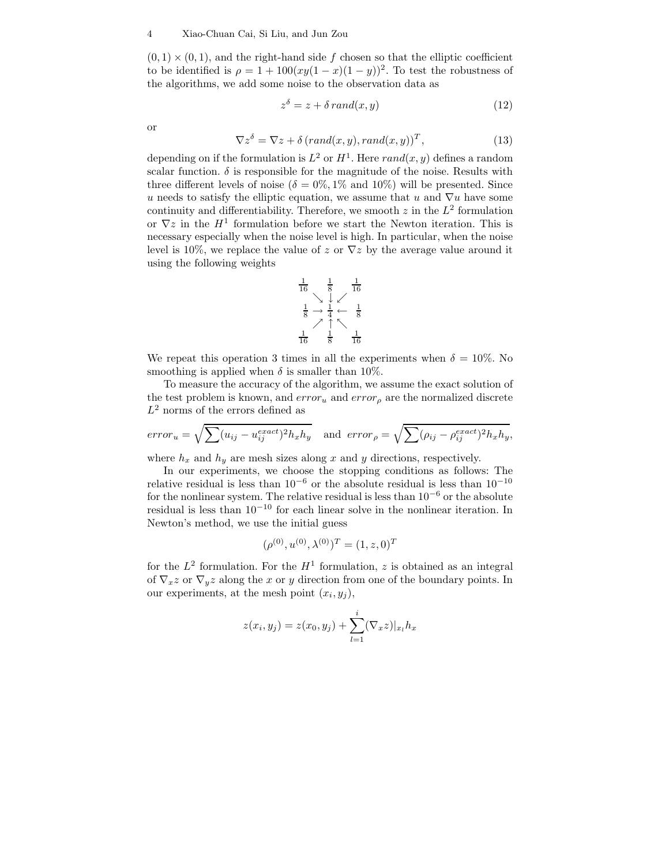$(0, 1) \times (0, 1)$ , and the right-hand side f chosen so that the elliptic coefficient to be identified is  $\rho = 1 + 100(xy(1 - x)(1 - y))^2$ . To test the robustness of the algorithms, we add some noise to the observation data as

$$
z^{\delta} = z + \delta \, rand(x, y) \tag{12}
$$

or

$$
\nabla z^{\delta} = \nabla z + \delta \left( rand(x, y), rand(x, y) \right)^{T}, \tag{13}
$$

depending on if the formulation is  $L^2$  or  $H^1$ . Here  $rand(x, y)$  defines a random scalar function.  $\delta$  is responsible for the magnitude of the noise. Results with three different levels of noise ( $\delta = 0\%, 1\%$  and  $10\%$ ) will be presented. Since u needs to satisfy the elliptic equation, we assume that u and  $\nabla u$  have some continuity and differentiability. Therefore, we smooth  $z$  in the  $L^2$  formulation or  $\nabla z$  in the  $H^1$  formulation before we start the Newton iteration. This is necessary especially when the noise level is high. In particular, when the noise level is 10%, we replace the value of z or  $\nabla z$  by the average value around it using the following weights

$$
\begin{array}{ccc}\n\frac{1}{16} & \frac{1}{8} & \frac{1}{16} \\
\searrow & \swarrow & \swarrow \\
\frac{1}{8} & \rightarrow & \frac{1}{4} & \leftarrow & \frac{1}{8} \\
\searrow & \uparrow & \nwarrow \\
\frac{1}{16} & \frac{1}{8} & \frac{1}{16} \\
\end{array}
$$

We repeat this operation 3 times in all the experiments when  $\delta = 10\%$ . No smoothing is applied when  $\delta$  is smaller than 10%.

To measure the accuracy of the algorithm, we assume the exact solution of the test problem is known, and  $error_u$  and  $error_\rho$  are the normalized discrete  $L^2$  norms of the errors defined as

$$
error_u = \sqrt{\sum (u_{ij} - u_{ij}^{exact})^2 h_x h_y} \quad \text{and} \quad error_\rho = \sqrt{\sum (\rho_{ij} - \rho_{ij}^{exact})^2 h_x h_y},
$$

where  $h_x$  and  $h_y$  are mesh sizes along x and y directions, respectively.

In our experiments, we choose the stopping conditions as follows: The relative residual is less than  $10^{-6}$  or the absolute residual is less than  $10^{-10}$ for the nonlinear system. The relative residual is less than  $10^{-6}$  or the absolute residual is less than 10<sup>−</sup><sup>10</sup> for each linear solve in the nonlinear iteration. In Newton's method, we use the initial guess

$$
(\rho^{(0)}, u^{(0)}, \lambda^{(0)})^T = (1, z, 0)^T
$$

for the  $L^2$  formulation. For the  $H^1$  formulation, z is obtained as an integral of  $\nabla_x z$  or  $\nabla_y z$  along the x or y direction from one of the boundary points. In our experiments, at the mesh point  $(x_i, y_j)$ ,

$$
z(x_i, y_j) = z(x_0, y_j) + \sum_{l=1}^{i} (\nabla_x z)|_{x_l} h_x
$$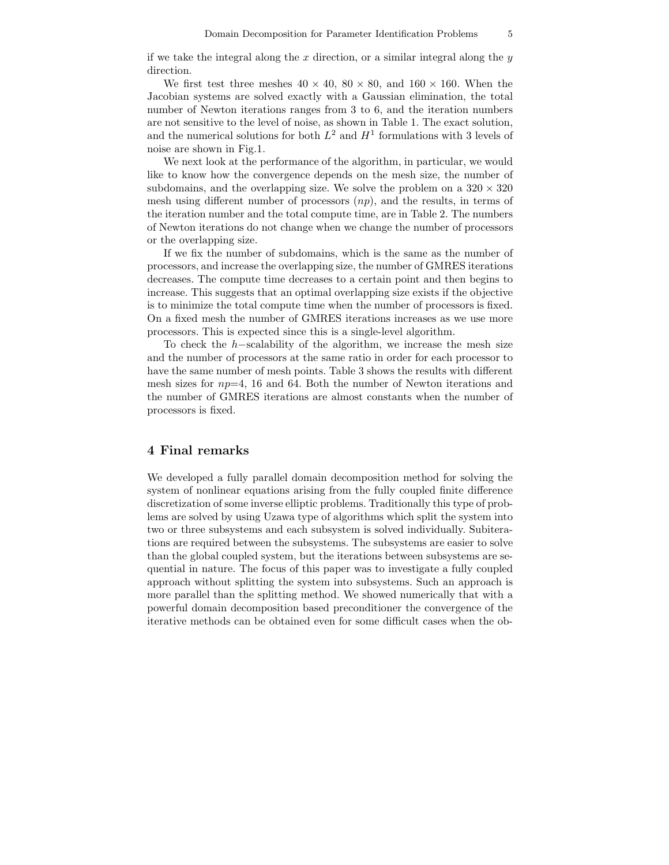if we take the integral along the x direction, or a similar integral along the  $y$ direction.

We first test three meshes  $40 \times 40$ ,  $80 \times 80$ , and  $160 \times 160$ . When the Jacobian systems are solved exactly with a Gaussian elimination, the total number of Newton iterations ranges from 3 to 6, and the iteration numbers are not sensitive to the level of noise, as shown in Table 1. The exact solution, and the numerical solutions for both  $L^2$  and  $H^1$  formulations with 3 levels of noise are shown in Fig.1.

We next look at the performance of the algorithm, in particular, we would like to know how the convergence depends on the mesh size, the number of subdomains, and the overlapping size. We solve the problem on a  $320 \times 320$ mesh using different number of processors  $(np)$ , and the results, in terms of the iteration number and the total compute time, are in Table 2. The numbers of Newton iterations do not change when we change the number of processors or the overlapping size.

If we fix the number of subdomains, which is the same as the number of processors, and increase the overlapping size, the number of GMRES iterations decreases. The compute time decreases to a certain point and then begins to increase. This suggests that an optimal overlapping size exists if the objective is to minimize the total compute time when the number of processors is fixed. On a fixed mesh the number of GMRES iterations increases as we use more processors. This is expected since this is a single-level algorithm.

To check the h−scalability of the algorithm, we increase the mesh size and the number of processors at the same ratio in order for each processor to have the same number of mesh points. Table 3 shows the results with different mesh sizes for  $np=4$ , 16 and 64. Both the number of Newton iterations and the number of GMRES iterations are almost constants when the number of processors is fixed.

### 4 Final remarks

We developed a fully parallel domain decomposition method for solving the system of nonlinear equations arising from the fully coupled finite difference discretization of some inverse elliptic problems. Traditionally this type of problems are solved by using Uzawa type of algorithms which split the system into two or three subsystems and each subsystem is solved individually. Subiterations are required between the subsystems. The subsystems are easier to solve than the global coupled system, but the iterations between subsystems are sequential in nature. The focus of this paper was to investigate a fully coupled approach without splitting the system into subsystems. Such an approach is more parallel than the splitting method. We showed numerically that with a powerful domain decomposition based preconditioner the convergence of the iterative methods can be obtained even for some difficult cases when the ob-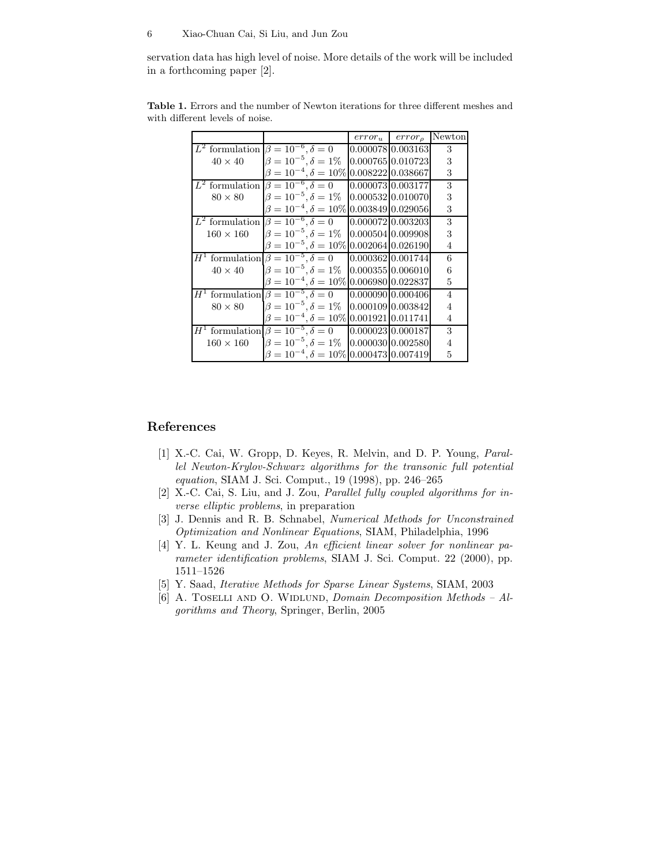#### 6 Xiao-Chuan Cai, Si Liu, and Jun Zou

servation data has high level of noise. More details of the work will be included in a forthcoming paper [2].

|                  |                                                    | $error_u$ error <sub>o</sub> | Newton         |
|------------------|----------------------------------------------------|------------------------------|----------------|
|                  | $L^2$ formulation $\beta = 10^{-6}, \delta = 0$    | 0.00007810.003163            | 3              |
| $40 \times 40$   | $\beta = 10^{-5}, \delta = 1\%$                    | 0.000765 0.010723            | 3              |
|                  | $\beta = 10^{-4}, \delta = 10\%$                   | 0.008222 0.038667            | 3              |
|                  | $L^2$ formulation $\beta = 10^{-6}, \delta = 0$    | 0.00007310.003177            | 3              |
| $80 \times 80$   | $\beta = 10^{-5}, \delta = 1\%$                    | 0.000532 0.010070            | 3              |
|                  | $\beta = 10^{-4}, \delta = 10\%$                   | 0.003849 0.029056            | 3              |
|                  | $L^2$ formulation $\beta = 10^{-6}, \delta = 0$    | 0.00007210.003203            | 3              |
| $160 \times 160$ | $\beta = 10^{-5}, \delta = 1\%$                    | 0.000504 0.009908            | 3              |
|                  | $\beta = 10^{-5}, \delta = 10\%$                   | 0.002064 0.026190            | 4              |
| $H^1$            | formulation $\beta = 10^{-5}$ , $\delta = 0$       | 0.000362 0.001744            | 6              |
| $40 \times 40$   | $\beta = 10^{-5}, \delta = 1\%$                    | 0.00035510.006010            | 6              |
|                  | $\beta = 10^{-4}, \delta = 10\%$                   | [0.006980] 0.022837          | 5              |
| $H^{\perp}$      | formulation $\beta = 10^{-5}$ , $\delta = 0$       | 0.00009010.000406            | $\overline{4}$ |
| $80 \times 80$   | $\beta = 10^{-5}, \delta = 1\%$                    | 0.000109 0.003842            | 4              |
|                  | $\beta = 10^{-4}, \delta = 10\% 0.001921 0.011741$ |                              | 4              |
|                  | $H^1$ formulation $\beta = 10^{-5}$ , $\delta = 0$ | 0.000023   0.000187          | 3              |
| $160 \times 160$ | $\beta = 10^{-5}, \delta = 1\%$                    | 0.000030 0.002580            | 4              |
|                  | $\beta = 10^{-4}, \delta = 10\% 0.000473 0.007419$ |                              | 5              |

Table 1. Errors and the number of Newton iterations for three different meshes and with different levels of noise.

### References

- [1] X.-C. Cai, W. Gropp, D. Keyes, R. Melvin, and D. P. Young, Parallel Newton-Krylov-Schwarz algorithms for the transonic full potential equation, SIAM J. Sci. Comput., 19 (1998), pp. 246–265
- [2] X.-C. Cai, S. Liu, and J. Zou, Parallel fully coupled algorithms for inverse elliptic problems, in preparation
- [3] J. Dennis and R. B. Schnabel, Numerical Methods for Unconstrained Optimization and Nonlinear Equations, SIAM, Philadelphia, 1996
- [4] Y. L. Keung and J. Zou, An efficient linear solver for nonlinear parameter identification problems, SIAM J. Sci. Comput. 22 (2000), pp. 1511–1526
- [5] Y. Saad, Iterative Methods for Sparse Linear Systems, SIAM, 2003
- [6] A. TOSELLI AND O. WIDLUND, *Domain Decomposition Methods Al*gorithms and Theory, Springer, Berlin, 2005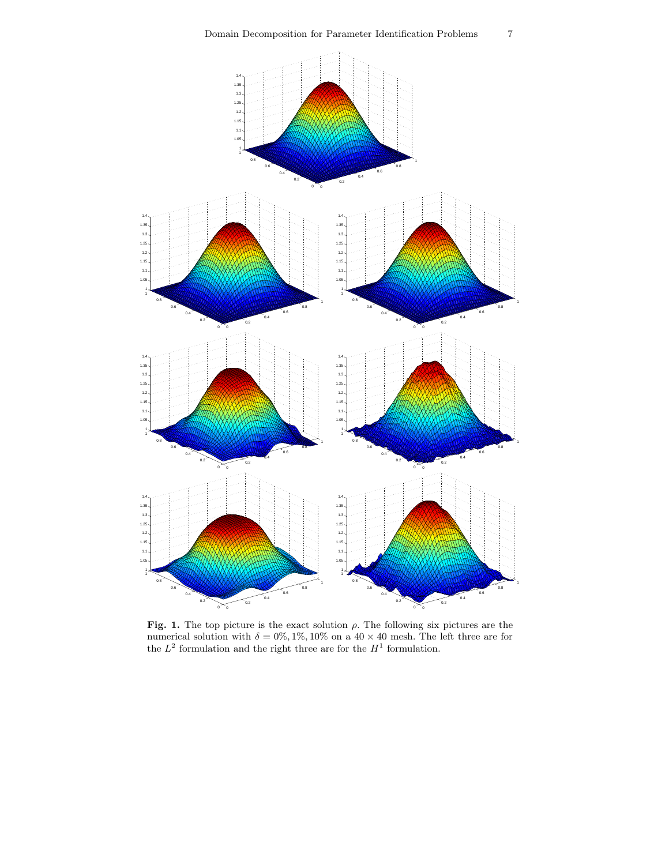

Fig. 1. The top picture is the exact solution  $\rho$ . The following six pictures are the numerical solution with  $\delta = 0\%, 1\%, 10\%$  on a 40 × 40 mesh. The left three are for the  $L^2$  formulation and the right three are for the  $H^1$  formulation.